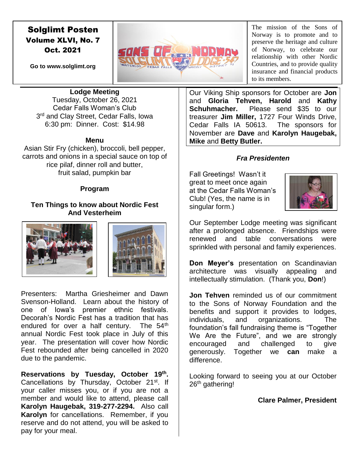# Solglimt Posten Volume XLVI, No. 7 Oct. 2021

**Go to www.solglimt.org**



The mission of the Sons of Norway is to promote and to preserve the heritage and culture of Norway, to celebrate our relationship with other Nordic Countries, and to provide quality insurance and financial products to its members.

**Lodge Meeting**

Tuesday, October 26, 2021 Cedar Falls Woman's Club 3<sup>rd</sup> and Clay Street, Cedar Falls, Iowa 6:30 pm: Dinner. Cost: \$14.98

#### **Menu**

Asian Stir Fry (chicken), broccoli, bell pepper, carrots and onions in a special sauce on top of rice pilaf, dinner roll and butter, fruit salad, pumpkin bar

## **Program**

# **Ten Things to know about Nordic Fest And Vesterheim**



Presenters: Martha Griesheimer and Dawn Svenson-Holland. Learn about the history of one of Iowa's premier ethnic festivals. Decorah's Nordic Fest has a tradition that has endured for over a half century. The 54<sup>th</sup> annual Nordic Fest took place in July of this year. The presentation will cover how Nordic Fest rebounded after being cancelled in 2020 due to the pandemic.

**Reservations by Tuesday, October 19th .**  Cancellations by Thursday, October 21<sup>st</sup>. If your caller misses you, or if you are not a member and would like to attend, please call **Karolyn Haugebak, 319-277-2294.** Also call **Karolyn** for cancellations. Remember, if you reserve and do not attend, you will be asked to pay for your meal.

Our Viking Ship sponsors for October are **Jon**  and **Gloria Tehven, Harold** and **Kathy Schuhmacher.** Please send \$35 to our treasurer **Jim Miller,** 1727 Four Winds Drive, Cedar Falls IA 50613. The sponsors for November are **Dave** and **Karolyn Haugebak, Mike** and **Betty Butler.**

## *Fra Presidenten*

Fall Greetings! Wasn't it great to meet once again at the Cedar Falls Woman's Club! (Yes, the name is in singular form.)



Our September Lodge meeting was significant after a prolonged absence. Friendships were renewed and table conversations were sprinkled with personal and family experiences.

**Don Meyer's** presentation on Scandinavian architecture was visually appealing and intellectually stimulation. (Thank you, **Don**!)

**Jon Tehven** reminded us of our commitment to the Sons of Norway Foundation and the benefits and support it provides to lodges, individuals, and organizations. The foundation's fall fundraising theme is "Together We Are the Future", and we are strongly encouraged and challenged to give generously. Together we **can** make a difference.

Looking forward to seeing you at our October 26<sup>th</sup> gathering!

**Clare Palmer, President**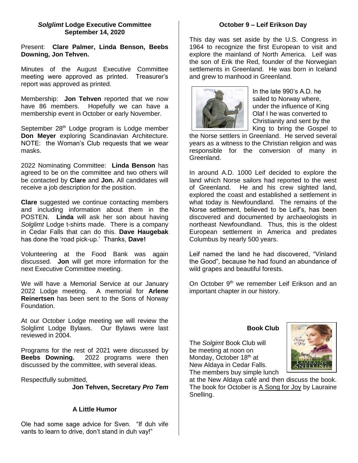#### *Solglimt* **Lodge Executive Committee September 14, 2020**

Present: **Clare Palmer, Linda Benson, Beebs Downing, Jon Tehven.**

Minutes of the August Executive Committee meeting were approved as printed. Treasurer's report was approved as printed.

Membership: **Jon Tehven** reported that we now have 86 members. Hopefully we can have a membership event in October or early November.

September 28<sup>th</sup> Lodge program is Lodge member **Don Meyer** exploring Scandinavian Architecture. NOTE: the Woman's Club requests that we wear masks.

2022 Nominating Committee: **Linda Benson** has agreed to be on the committee and two others will be contacted by **Clare** and **Jon.** All candidates will receive a job description for the position.

**Clare** suggested we continue contacting members and including information about them in the POSTEN. **Linda** will ask her son about having *Solglimt* Lodge t-shirts made. There is a company in Cedar Falls that can do this. **Dave Haugebak**  has done the 'road pick-up.' Thanks, **Dave!**

Volunteering at the Food Bank was again discussed. **Jon** will get more information for the next Executive Committee meeting.

We will have a Memorial Service at our January 2022 Lodge meeting. A memorial for **Arlene Reinertsen** has been sent to the Sons of Norway Foundation.

At our October Lodge meeting we will review the Solglimt Lodge Bylaws. Our Bylaws were last reviewed in 2004.

Programs for the rest of 2021 were discussed by **Beebs Downing.** 2022 programs were then discussed by the committee, with several ideas.

Respectfully submitted,

**Jon Tehven, Secretary** *Pro Tem*

## **A Little Humor**

Ole had some sage advice for Sven. "If duh vife vants to learn to drive, don't stand in duh vay!"

#### **October 9 – Leif Erikson Day**

This day was set aside by the U.S. Congress in 1964 to recognize the first European to visit and explore the mainland of North America. Leif was the son of Erik the Red, founder of the Norwegian settlements in Greenland. He was born in Iceland and grew to manhood in Greenland.



In the late  $990$ 's A.D. he sailed to Norway where, under the influence of King Olaf I he was converted to Christianity and sent by the King to bring the Gospel to

the Norse settlers in Greenland. He served several years as a witness to the Christian religion and was responsible for the conversion of many in Greenland.

In around A.D. 1000 Leif decided to explore the land which Norse sailors had reported to the west of Greenland. He and his crew sighted land, explored the coast and established a settlement in what today is Newfoundland. The remains of the Norse settlement, believed to be Leif's, has been discovered and documented by archaeologists in northeast Newfoundland. Thus, this is the oldest European settlement in America and predates Columbus by nearly 500 years.

Leif named the land he had discovered, "Vinland the Good", because he had found an abundance of wild grapes and beautiful forests.

On October 9<sup>th</sup> we remember Leif Erikson and an important chapter in our history.

#### **Book Club**

The *Solgimt* Book Club will be meeting at noon on Monday, October 18<sup>th</sup> at New Aldaya in Cedar Falls. The members buy simple lunch



at the New Aldaya café and then discuss the book. The book for October is A Song for Joy by Lauraine Snelling.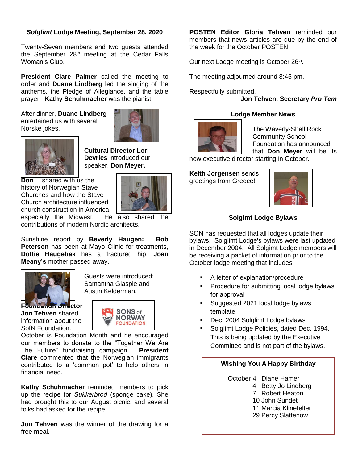# *Solglimt* **Lodge Meeting, September 28, 2020**

Twenty-Seven members and two guests attended the September 28<sup>th</sup> meeting at the Cedar Falls Woman's Club.

**President Clare Palmer** called the meeting to order and **Duane Lindberg** led the singing of the anthems, the Pledge of Allegiance, and the table prayer. **Kathy Schuhmacher** was the pianist.

After dinner, **Duane Lindberg**  entertained us with several Norske jokes.





**Cultural Director Lori Devries** introduced our speaker, **Don Meyer.** 

**Don** shared with us the history of Norwegian Stave Churches and how the Stave Church architecture influenced



church construction in America, **Construction in America, Construction in America**, **Construction** especially the Midwest. contributions of modern Nordic architects.

Sunshine report by **Beverly Haugen: Bob Peterson** has been at Mayo Clinic for treatments, **Dottie Haugebak** has a fractured hip, **Joan Meany's** mother passed away.



**Foundation Director Jon Tehven** shared information about the SofN Foundation.



Guests were introduced: Samantha Glaspie and Austin Kelderman.

October is Foundation Month and he encouraged our members to donate to the "Together We Are The Future" fundraising campaign. **President Clare** commented that the Norwegian immigrants contributed to a 'common pot' to help others in financial need.

**Kathy Schuhmacher** reminded members to pick up the recipe for *Sukkerbrod* (sponge cake). She had brought this to our August picnic, and several folks had asked for the recipe.

**Jon Tehven** was the winner of the drawing for a free meal.

**POSTEN Editor Gloria Tehven** reminded our members that news articles are due by the end of the week for the October POSTEN.

Our next Lodge meeting is October 26<sup>th</sup>.

The meeting adjourned around 8:45 pm.

Respectfully submitted,

**Jon Tehven, Secretary** *Pro Tem*

# **Lodge Member News**



The Waverly-Shell Rock Community School Foundation has announced that **Don Meyer** will be its

new executive director starting in October.

**Keith Jorgensen** sends greetings from Greece!!



# **Solgimt Lodge Bylaws**

SON has requested that all lodges update their bylaws. Solglimt Lodge's bylaws were last updated in December 2004. All Solgimt Lodge members will be receiving a packet of information prior to the October lodge meeting that includes:

- A letter of explanation/procedure
- Procedure for submitting local lodge bylaws for approval
- Suggested 2021 local lodge bylaws template
- Dec. 2004 Solglimt Lodge bylaws
- Solglimt Lodge Policies, dated Dec. 1994. This is being updated by the Executive Committee and is not part of the bylaws.

## **Wishing You A Happy Birthday**

October 4 Diane Hamer

- 4 Betty Jo Lindberg
- 7 Robert Heaton
- 10 John Sundet

11 Marcia Klinefelter

29 Percy Slattenow